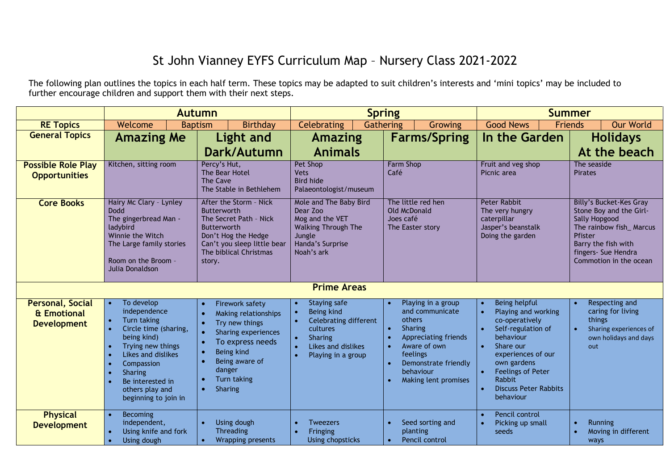## St John Vianney EYFS Curriculum Map – Nursery Class 2021-2022

The following plan outlines the topics in each half term. These topics may be adapted to suit children's interests and 'mini topics' may be included to further encourage children and support them with their next steps.

|                                                              |                                                                                                                                                                                                                                          | <b>Autumn</b>                                                                                                                                                            |                                                                                                                                                                                                | <b>Spring</b>                                                                                                                                                               | <b>Summer</b>                                                                                                                                                                                                                                                                      |                                                                                                                                                                                                 |  |  |  |
|--------------------------------------------------------------|------------------------------------------------------------------------------------------------------------------------------------------------------------------------------------------------------------------------------------------|--------------------------------------------------------------------------------------------------------------------------------------------------------------------------|------------------------------------------------------------------------------------------------------------------------------------------------------------------------------------------------|-----------------------------------------------------------------------------------------------------------------------------------------------------------------------------|------------------------------------------------------------------------------------------------------------------------------------------------------------------------------------------------------------------------------------------------------------------------------------|-------------------------------------------------------------------------------------------------------------------------------------------------------------------------------------------------|--|--|--|
| <b>RE Topics</b>                                             | Welcome                                                                                                                                                                                                                                  | Birthday<br><b>Baptism</b>                                                                                                                                               | Celebrating                                                                                                                                                                                    | Gathering<br>Growing                                                                                                                                                        | <b>Good News</b>                                                                                                                                                                                                                                                                   | <b>Our World</b><br><b>Friends</b>                                                                                                                                                              |  |  |  |
| <b>General Topics</b>                                        | <b>Amazing Me</b>                                                                                                                                                                                                                        | <b>Light and</b>                                                                                                                                                         | <b>Amazing</b>                                                                                                                                                                                 | <b>Farms/Spring</b>                                                                                                                                                         | In the Garden                                                                                                                                                                                                                                                                      | <b>Holidays</b>                                                                                                                                                                                 |  |  |  |
|                                                              |                                                                                                                                                                                                                                          | Dark/Autumn                                                                                                                                                              | <b>Animals</b>                                                                                                                                                                                 |                                                                                                                                                                             |                                                                                                                                                                                                                                                                                    | At the beach                                                                                                                                                                                    |  |  |  |
| <b>Possible Role Play</b><br><b>Opportunities</b>            | Kitchen, sitting room                                                                                                                                                                                                                    | Percy's Hut,<br>The Bear Hotel<br><b>The Cave</b><br>The Stable in Bethlehem                                                                                             | <b>Pet Shop</b><br><b>Vets</b><br><b>Bird hide</b><br>Palaeontologist/museum                                                                                                                   | <b>Farm Shop</b><br>Café                                                                                                                                                    | Fruit and veg shop<br>Picnic area                                                                                                                                                                                                                                                  | The seaside<br><b>Pirates</b>                                                                                                                                                                   |  |  |  |
| <b>Core Books</b>                                            | Hairy Mc Clary - Lynley<br><b>Dodd</b><br>The gingerbread Man -<br>ladybird<br>Winnie the Witch<br>The Large family stories<br>Room on the Broom -<br>Julia Donaldson                                                                    | After the Storm - Nick<br>Butterworth<br>The Secret Path - Nick<br>Butterworth<br>Don't Hog the Hedge<br>Can't you sleep little bear<br>The biblical Christmas<br>story. | Mole and The Baby Bird<br>Dear Zoo<br>Mog and the VET<br><b>Walking Through The</b><br>Jungle<br>Handa's Surprise<br>Noah's ark<br><b>Prime Areas</b>                                          | The little red hen<br>Old McDonald<br>Joes café<br>The Easter story                                                                                                         | <b>Peter Rabbit</b><br>The very hungry<br>caterpillar<br>Jasper's beanstalk<br>Doing the garden                                                                                                                                                                                    | <b>Billy's Bucket-Kes Gray</b><br>Stone Boy and the Girl-<br><b>Sally Hopgood</b><br>The rainbow fish_Marcus<br>Pfister<br>Barry the fish with<br>fingers- Sue Hendra<br>Commotion in the ocean |  |  |  |
|                                                              |                                                                                                                                                                                                                                          |                                                                                                                                                                          |                                                                                                                                                                                                |                                                                                                                                                                             |                                                                                                                                                                                                                                                                                    |                                                                                                                                                                                                 |  |  |  |
| <b>Personal, Social</b><br>& Emotional<br><b>Development</b> | To develop<br>$\bullet$<br>independence<br>Turn taking<br>Circle time (sharing,<br>being kind)<br>Trying new things<br>Likes and dislikes<br>Compassion<br><b>Sharing</b><br>Be interested in<br>others play and<br>beginning to join in | Firework safety<br>Making relationships<br>Try new things<br>Sharing experiences<br>To express needs<br>Being kind<br>Being aware of<br>danger<br>Turn taking<br>Sharing | Staying safe<br>$\bullet$<br>Being kind<br>$\bullet$<br><b>Celebrating different</b><br>cultures<br>Sharing<br>$\bullet$<br>Likes and dislikes<br>$\bullet$<br>$\bullet$<br>Playing in a group | Playing in a group<br>and communicate<br>others<br>Sharing<br>Appreciating friends<br>Aware of own<br>feelings<br>Demonstrate friendly<br>behaviour<br>Making lent promises | Being helpful<br>$\bullet$<br>Playing and working<br>co-operatively<br>Self-regulation of<br>behaviour<br>Share our<br>$\bullet$<br>experiences of our<br>own gardens<br><b>Feelings of Peter</b><br>$\bullet$<br>Rabbit<br><b>Discuss Peter Rabbits</b><br>$\bullet$<br>behaviour | Respecting and<br>caring for living<br>things<br>Sharing experiences of<br>own holidays and days<br>out                                                                                         |  |  |  |
| <b>Physical</b><br><b>Development</b>                        | <b>Becoming</b><br>$\bullet$<br>independent,<br>Using knife and fork<br>Using dough                                                                                                                                                      | Using dough<br><b>Threading</b><br>Wrapping presents                                                                                                                     | <b>Tweezers</b><br>$\bullet$<br>Fringing<br>$\bullet$<br>Using chopsticks                                                                                                                      | Seed sorting and<br>planting<br>Pencil control<br>$\bullet$                                                                                                                 | Pencil control<br>$\bullet$<br>Picking up small<br>$\bullet$<br>seeds                                                                                                                                                                                                              | <b>Running</b><br>Moving in different<br>ways                                                                                                                                                   |  |  |  |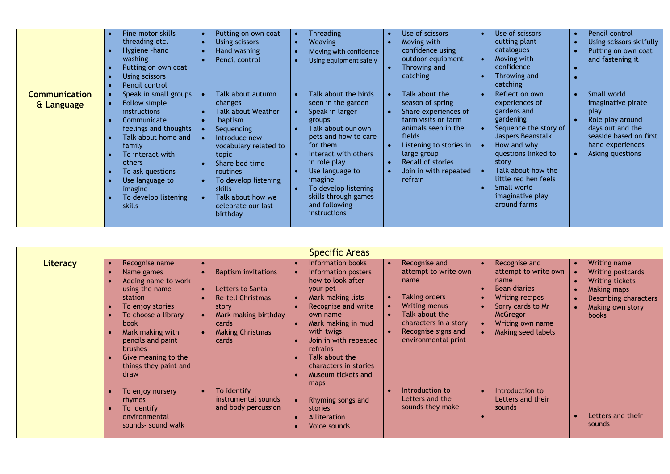|                                    | Fine motor skills<br>threading etc.<br>Hygiene - hand<br>washing<br>Putting on own coat<br>Using scissors<br>Pencil control                                                                                                                              | Putting on own coat<br>Using scissors<br>Hand washing<br>Pencil control                                                                                                                                                                                      | Threading<br><b>Weaving</b><br>Moving with confidence<br>Using equipment safely                                                                                                                                                                                                                 | Use of scissors<br>Moving with<br>confidence using<br>outdoor equipment<br>Throwing and<br>catching                                                                                                                   | Use of scissors<br>cutting plant<br>catalogues<br>Moving with<br>confidence<br>Throwing and<br>catching                                                                                                                                                                 | Pencil control<br>Using scissors skilfully<br>Putting on own coat<br>and fastening it                                                               |
|------------------------------------|----------------------------------------------------------------------------------------------------------------------------------------------------------------------------------------------------------------------------------------------------------|--------------------------------------------------------------------------------------------------------------------------------------------------------------------------------------------------------------------------------------------------------------|-------------------------------------------------------------------------------------------------------------------------------------------------------------------------------------------------------------------------------------------------------------------------------------------------|-----------------------------------------------------------------------------------------------------------------------------------------------------------------------------------------------------------------------|-------------------------------------------------------------------------------------------------------------------------------------------------------------------------------------------------------------------------------------------------------------------------|-----------------------------------------------------------------------------------------------------------------------------------------------------|
| <b>Communication</b><br>& Language | Speak in small groups<br>Follow simple<br>instructions<br>Communicate<br>feelings and thoughts<br>Talk about home and<br>family<br>To interact with<br>others<br>To ask questions<br>Use language to<br>imagine<br>To develop listening<br><b>skills</b> | Talk about autumn<br>changes<br><b>Talk about Weather</b><br>baptism<br>Sequencing<br>Introduce new<br>vocabulary related to<br>topic<br>Share bed time<br>routines<br>To develop listening<br>skills<br>Talk about how we<br>celebrate our last<br>birthday | Talk about the birds<br>seen in the garden<br>Speak in larger<br>groups<br>Talk about our own<br>pets and how to care<br>for them<br>Interact with others<br>in role play<br>Use language to<br>imagine<br>To develop listening<br>skills through games<br>and following<br><i>instructions</i> | Talk about the<br>season of spring<br>Share experiences of<br>farm visits or farm<br>animals seen in the<br>fields<br>Listening to stories in<br>large group<br>Recall of stories<br>Join in with repeated<br>refrain | Reflect on own<br>experiences of<br>gardens and<br>gardening<br>Sequence the story of<br>$\bullet$<br>Jaspers Beanstalk<br>How and why<br>questions linked to<br>story<br>Talk about how the<br>little red hen feels<br>Small world<br>imaginative play<br>around farms | Small world<br>imaginative pirate<br>play<br>Role play around<br>days out and the<br>seaside based on first<br>hand experiences<br>Asking questions |